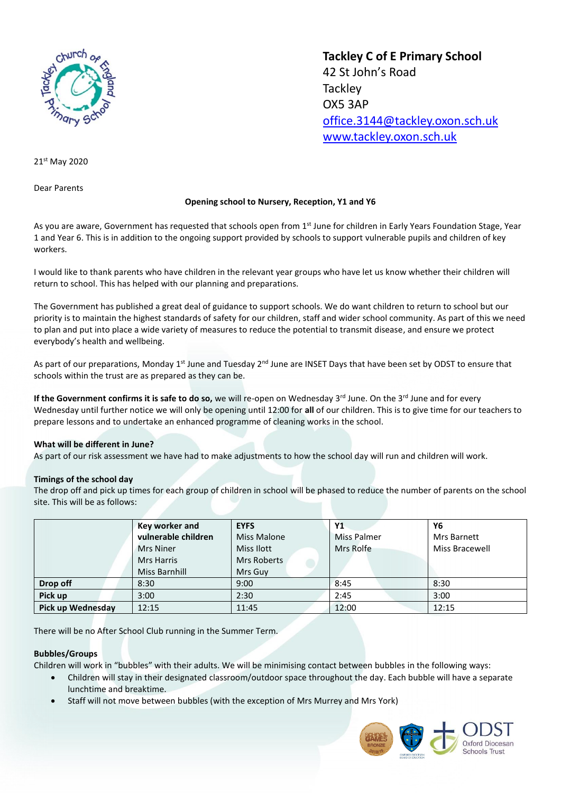

**Tackley C of E Primary School** 42 St John's Road **Tackley** OX5 3AP [office.3144@tackley.oxon.sch.uk](mailto:office.3144@tackley.oxon.sch.uk) [www.tackley.oxon.sch.uk](http://www.tackley.oxon.sch.uk/)

21st May 2020

Dear Parents

# **Opening school to Nursery, Reception, Y1 and Y6**

As you are aware, Government has requested that schools open from 1<sup>st</sup> June for children in Early Years Foundation Stage, Year 1 and Year 6. This is in addition to the ongoing support provided by schools to support vulnerable pupils and children of key workers.

I would like to thank parents who have children in the relevant year groups who have let us know whether their children will return to school. This has helped with our planning and preparations.

The Government has published a great deal of guidance to support schools. We do want children to return to school but our priority is to maintain the highest standards of safety for our children, staff and wider school community. As part of this we need to plan and put into place a wide variety of measures to reduce the potential to transmit disease, and ensure we protect everybody's health and wellbeing.

As part of our preparations, Monday 1<sup>st</sup> June and Tuesday 2<sup>nd</sup> June are INSET Days that have been set by ODST to ensure that schools within the trust are as prepared as they can be.

**If the Government confirms it is safe to do so,** we will re-open on Wednesday 3<sup>rd</sup> June. On the 3<sup>rd</sup> June and for every Wednesday until further notice we will only be opening until 12:00 for **all** of our children. This is to give time for our teachers to prepare lessons and to undertake an enhanced programme of cleaning works in the school.

## **What will be different in June?**

As part of our risk assessment we have had to make adjustments to how the school day will run and children will work.

## **Timings of the school day**

The drop off and pick up times for each group of children in school will be phased to reduce the number of parents on the school site. This will be as follows:

|                          | Key worker and       | <b>EYFS</b> | <b>Y1</b>          | Υ6             |
|--------------------------|----------------------|-------------|--------------------|----------------|
|                          | vulnerable children  | Miss Malone | <b>Miss Palmer</b> | Mrs Barnett    |
|                          | <b>Mrs Niner</b>     | Miss Ilott  | Mrs Rolfe          | Miss Bracewell |
|                          | <b>Mrs Harris</b>    | Mrs Roberts |                    |                |
|                          | <b>Miss Barnhill</b> | Mrs Guy     |                    |                |
| Drop off                 | 8:30                 | 9:00        | 8:45               | 8:30           |
| Pick up                  | 3:00                 | 2:30        | 2:45               | 3:00           |
| <b>Pick up Wednesday</b> | 12:15                | 11:45       | 12:00              | 12:15          |

There will be no After School Club running in the Summer Term.

## **Bubbles/Groups**

Children will work in "bubbles" with their adults. We will be minimising contact between bubbles in the following ways:

- Children will stay in their designated classroom/outdoor space throughout the day. Each bubble will have a separate lunchtime and breaktime.
- Staff will not move between bubbles (with the exception of Mrs Murrey and Mrs York)